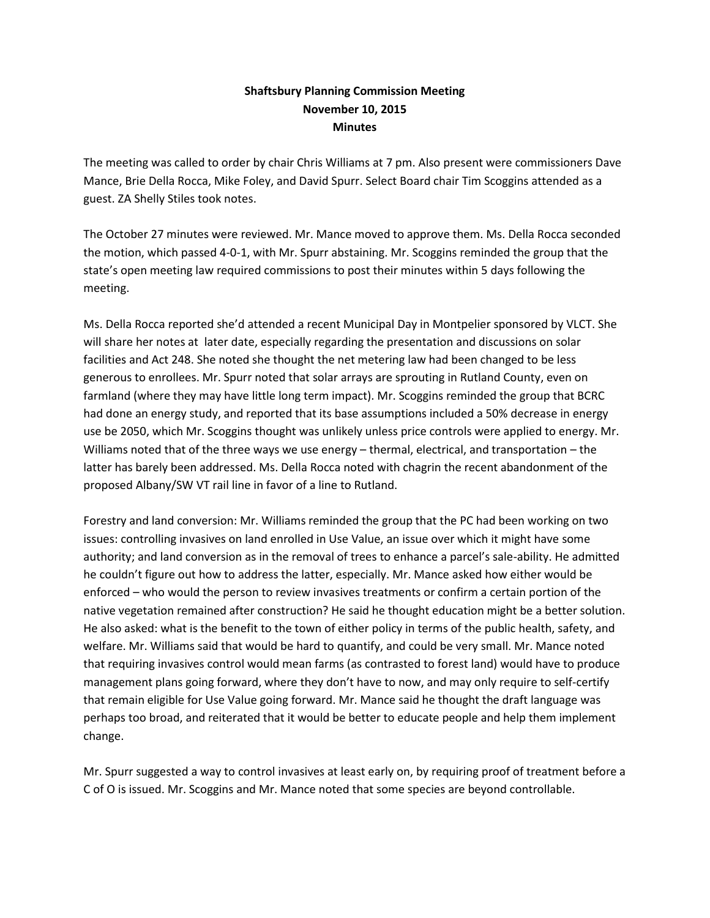## **Shaftsbury Planning Commission Meeting November 10, 2015 Minutes**

The meeting was called to order by chair Chris Williams at 7 pm. Also present were commissioners Dave Mance, Brie Della Rocca, Mike Foley, and David Spurr. Select Board chair Tim Scoggins attended as a guest. ZA Shelly Stiles took notes.

The October 27 minutes were reviewed. Mr. Mance moved to approve them. Ms. Della Rocca seconded the motion, which passed 4-0-1, with Mr. Spurr abstaining. Mr. Scoggins reminded the group that the state's open meeting law required commissions to post their minutes within 5 days following the meeting.

Ms. Della Rocca reported she'd attended a recent Municipal Day in Montpelier sponsored by VLCT. She will share her notes at later date, especially regarding the presentation and discussions on solar facilities and Act 248. She noted she thought the net metering law had been changed to be less generous to enrollees. Mr. Spurr noted that solar arrays are sprouting in Rutland County, even on farmland (where they may have little long term impact). Mr. Scoggins reminded the group that BCRC had done an energy study, and reported that its base assumptions included a 50% decrease in energy use be 2050, which Mr. Scoggins thought was unlikely unless price controls were applied to energy. Mr. Williams noted that of the three ways we use energy – thermal, electrical, and transportation – the latter has barely been addressed. Ms. Della Rocca noted with chagrin the recent abandonment of the proposed Albany/SW VT rail line in favor of a line to Rutland.

Forestry and land conversion: Mr. Williams reminded the group that the PC had been working on two issues: controlling invasives on land enrolled in Use Value, an issue over which it might have some authority; and land conversion as in the removal of trees to enhance a parcel's sale-ability. He admitted he couldn't figure out how to address the latter, especially. Mr. Mance asked how either would be enforced – who would the person to review invasives treatments or confirm a certain portion of the native vegetation remained after construction? He said he thought education might be a better solution. He also asked: what is the benefit to the town of either policy in terms of the public health, safety, and welfare. Mr. Williams said that would be hard to quantify, and could be very small. Mr. Mance noted that requiring invasives control would mean farms (as contrasted to forest land) would have to produce management plans going forward, where they don't have to now, and may only require to self-certify that remain eligible for Use Value going forward. Mr. Mance said he thought the draft language was perhaps too broad, and reiterated that it would be better to educate people and help them implement change.

Mr. Spurr suggested a way to control invasives at least early on, by requiring proof of treatment before a C of O is issued. Mr. Scoggins and Mr. Mance noted that some species are beyond controllable.